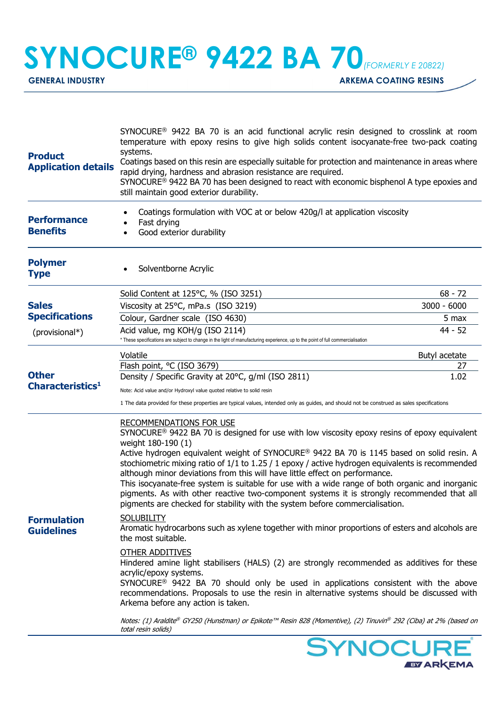## **SYNOCURE® 9422 BA 70**(FORMERLY E 20822)

GENERAL INDUSTRY **ARKEMA COATING RESINS** 

**EY ARKEMA** 

| <b>Product</b><br><b>Application details</b>                                            | SYNOCURE <sup>®</sup> 9422 BA 70 is an acid functional acrylic resin designed to crosslink at room<br>temperature with epoxy resins to give high solids content isocyanate-free two-pack coating<br>systems.<br>Coatings based on this resin are especially suitable for protection and maintenance in areas where<br>rapid drying, hardness and abrasion resistance are required.<br>SYNOCURE <sup>®</sup> 9422 BA 70 has been designed to react with economic bisphenol A type epoxies and<br>still maintain good exterior durability.                                                                                                                                                                                   |               |  |
|-----------------------------------------------------------------------------------------|----------------------------------------------------------------------------------------------------------------------------------------------------------------------------------------------------------------------------------------------------------------------------------------------------------------------------------------------------------------------------------------------------------------------------------------------------------------------------------------------------------------------------------------------------------------------------------------------------------------------------------------------------------------------------------------------------------------------------|---------------|--|
| <b>Performance</b><br><b>Benefits</b>                                                   | Coatings formulation with VOC at or below 420g/l at application viscosity<br>Fast drying<br>Good exterior durability                                                                                                                                                                                                                                                                                                                                                                                                                                                                                                                                                                                                       |               |  |
| <b>Polymer</b><br><b>Type</b>                                                           | Solventborne Acrylic                                                                                                                                                                                                                                                                                                                                                                                                                                                                                                                                                                                                                                                                                                       |               |  |
|                                                                                         | Solid Content at 125°C, % (ISO 3251)                                                                                                                                                                                                                                                                                                                                                                                                                                                                                                                                                                                                                                                                                       | $68 - 72$     |  |
| <b>Sales</b><br><b>Specifications</b>                                                   | Viscosity at 25°C, mPa.s (ISO 3219)                                                                                                                                                                                                                                                                                                                                                                                                                                                                                                                                                                                                                                                                                        | $3000 - 6000$ |  |
|                                                                                         | Colour, Gardner scale (ISO 4630)                                                                                                                                                                                                                                                                                                                                                                                                                                                                                                                                                                                                                                                                                           | 5 max         |  |
| (provisional*)                                                                          | Acid value, mg KOH/g (ISO 2114)<br>* These specifications are subject to change in the light of manufacturing experience, up to the point of full commercialisation                                                                                                                                                                                                                                                                                                                                                                                                                                                                                                                                                        | 44 - 52       |  |
|                                                                                         | Volatile                                                                                                                                                                                                                                                                                                                                                                                                                                                                                                                                                                                                                                                                                                                   | Butyl acetate |  |
|                                                                                         | Flash point, °C (ISO 3679)                                                                                                                                                                                                                                                                                                                                                                                                                                                                                                                                                                                                                                                                                                 | 27            |  |
| <b>Other</b><br>Characteristics <sup>1</sup><br><b>Formulation</b><br><b>Guidelines</b> | Density / Specific Gravity at 20°C, g/ml (ISO 2811)                                                                                                                                                                                                                                                                                                                                                                                                                                                                                                                                                                                                                                                                        | 1.02          |  |
|                                                                                         | Note: Acid value and/or Hydroxyl value quoted relative to solid resin                                                                                                                                                                                                                                                                                                                                                                                                                                                                                                                                                                                                                                                      |               |  |
|                                                                                         | 1 The data provided for these properties are typical values, intended only as guides, and should not be construed as sales specifications                                                                                                                                                                                                                                                                                                                                                                                                                                                                                                                                                                                  |               |  |
|                                                                                         | <b>RECOMMENDATIONS FOR USE</b><br>$SYNOCURE^@ 9422$ BA 70 is designed for use with low viscosity epoxy resins of epoxy equivalent<br>weight 180-190 (1)<br>Active hydrogen equivalent weight of SYNOCURE® 9422 BA 70 is 1145 based on solid resin. A<br>stochiometric mixing ratio of $1/1$ to $1.25/1$ epoxy / active hydrogen equivalents is recommended<br>although minor deviations from this will have little effect on performance.<br>This isocyanate-free system is suitable for use with a wide range of both organic and inorganic<br>pigments. As with other reactive two-component systems it is strongly recommended that all<br>pigments are checked for stability with the system before commercialisation. |               |  |
|                                                                                         | <b>SOLUBILITY</b><br>Aromatic hydrocarbons such as xylene together with minor proportions of esters and alcohols are<br>the most suitable.                                                                                                                                                                                                                                                                                                                                                                                                                                                                                                                                                                                 |               |  |
|                                                                                         | <b>OTHER ADDITIVES</b><br>Hindered amine light stabilisers (HALS) (2) are strongly recommended as additives for these<br>acrylic/epoxy systems.<br>SYNOCURE <sup>®</sup> 9422 BA 70 should only be used in applications consistent with the above<br>recommendations. Proposals to use the resin in alternative systems should be discussed with<br>Arkema before any action is taken.                                                                                                                                                                                                                                                                                                                                     |               |  |
|                                                                                         | Notes: (1) Araldite® GY250 (Hunstman) or Epikote™ Resin 828 (Momentive), (2) Tinuvin® 292 (Ciba) at 2% (based on<br>total resin solids)                                                                                                                                                                                                                                                                                                                                                                                                                                                                                                                                                                                    |               |  |
|                                                                                         |                                                                                                                                                                                                                                                                                                                                                                                                                                                                                                                                                                                                                                                                                                                            | SYNOCURE®     |  |